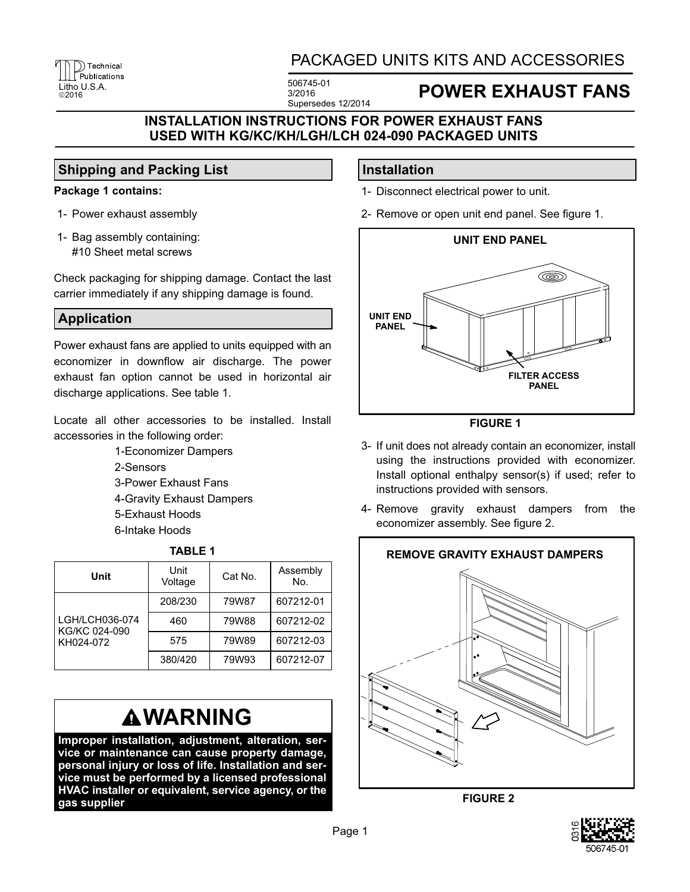# The Technical PHCK<br>
Litho U.S.A. 506745-01<br>
2016 3/2016

### PACKAGED UNITS KITS AND ACCESSORIES

3/2016 Supersedes 12/2014

### ©<sup>2016</sup> **POWER EXHAUST FANS**

### **INSTALLATION INSTRUCTIONS FOR POWER EXHAUST FANS USED WITH KG/KC/KH/LGH/LCH 024-090 PACKAGED UNITS**

### **Shipping and Packing List**

#### **Package 1 contains:**

- 1- Power exhaust assembly
- 1- Bag assembly containing: #10 Sheet metal screws

Check packaging for shipping damage. Contact the last carrier immediately if any shipping damage is found.

### **Application**

Power exhaust fans are applied to units equipped with an economizer in downflow air discharge. The power exhaust fan option cannot be used in horizontal air discharge applications. See table 1.

Locate all other accessories to be installed. Install accessories in the following order:

> 1-Economizer Dampers 2-Sensors 3-Power Exhaust Fans 4-Gravity Exhaust Dampers 5-Exhaust Hoods 6-Intake Hoods

| 180LL 1                                      |                 |         |                 |
|----------------------------------------------|-----------------|---------|-----------------|
| Unit                                         | Unit<br>Voltage | Cat No. | Assembly<br>No. |
| LGH/LCH036-074<br>KG/KC 024-090<br>KH024-072 | 208/230         | 79W87   | 607212-01       |
|                                              | 460             | 79W88   | 607212-02       |
|                                              | 575             | 79W89   | 607212-03       |
|                                              | 380/420         | 79W93   | 607212-07       |

**TABLE 1**

## **WARNING**

**Improper installation, adjustment, alteration, service or maintenance can cause property damage, personal injury or loss of life. Installation and service must be performed by a licensed professional HVAC installer or equivalent, service agency, or the gas supplier**

### **Installation**

- 1- Disconnect electrical power to unit.
- 2- Remove or open unit end panel. See figure 1.



**FIGURE 1**

- 3- If unit does not already contain an economizer, install using the instructions provided with economizer. Install optional enthalpy sensor(s) if used; refer to instructions provided with sensors.
- 4- Remove gravity exhaust dampers from the economizer assembly. See figure 2.



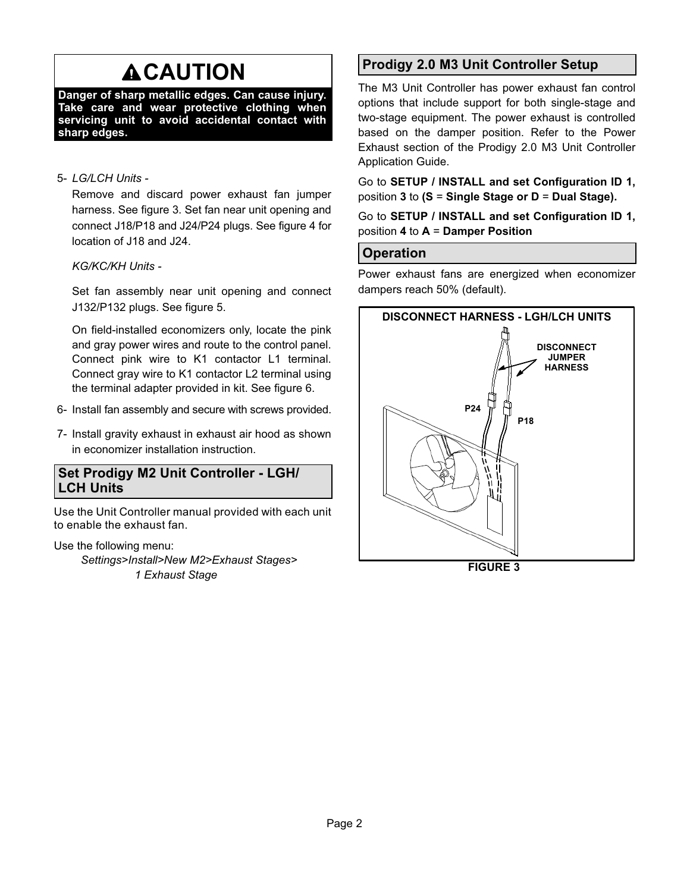# **ACAUTION**

**Danger of sharp metallic edges. Can cause injury. Take care and wear protective clothing when servicing unit to avoid accidental contact with sharp edges.**

#### 5- *LG/LCH Units -*

Remove and discard power exhaust fan jumper harness. See figure 3. Set fan near unit opening and connect J18/P18 and J24/P24 plugs. See figure 4 for location of J18 and J24.

**KG/KC/KH Units -**

Set fan assembly near unit opening and connect J132/P132 plugs. See figure 5.

On field-installed economizers only, locate the pink and gray power wires and route to the control panel. Connect pink wire to K1 contactor L1 terminal. Connect gray wire to K1 contactor L2 terminal using the terminal adapter provided in kit. See figure 6.

- 6- Install fan assembly and secure with screws provided.
- 7- Install gravity exhaust in exhaust air hood as shown in economizer installation instruction.

### **Set Prodigy M2 Unit Controller - LGH/ LCH Units**

Use the Unit Controller manual provided with each unit to enable the exhaust fan.

Use the following menu:

*Settings>Install>New M2>Exhaust Stages> 1 Exhaust Stage*

### **Prodigy 2.0 M3 Unit Controller Setup**

The M3 Unit Controller has power exhaust fan control options that include support for both single‐stage and two‐stage equipment. The power exhaust is controlled based on the damper position. Refer to the Power Exhaust section of the Prodigy 2.0 M3 Unit Controller Application Guide.

Go to **SETUP / INSTALL and set Configuration ID 1,** position **3** to **(S** = **Single Stage or D** = **Dual Stage).**

Go to **SETUP / INSTALL and set Configuration ID 1,** position **4** to **A** = **Damper Position**

### **Operation**

Power exhaust fans are energized when economizer dampers reach 50% (default).



**FIGURE 3**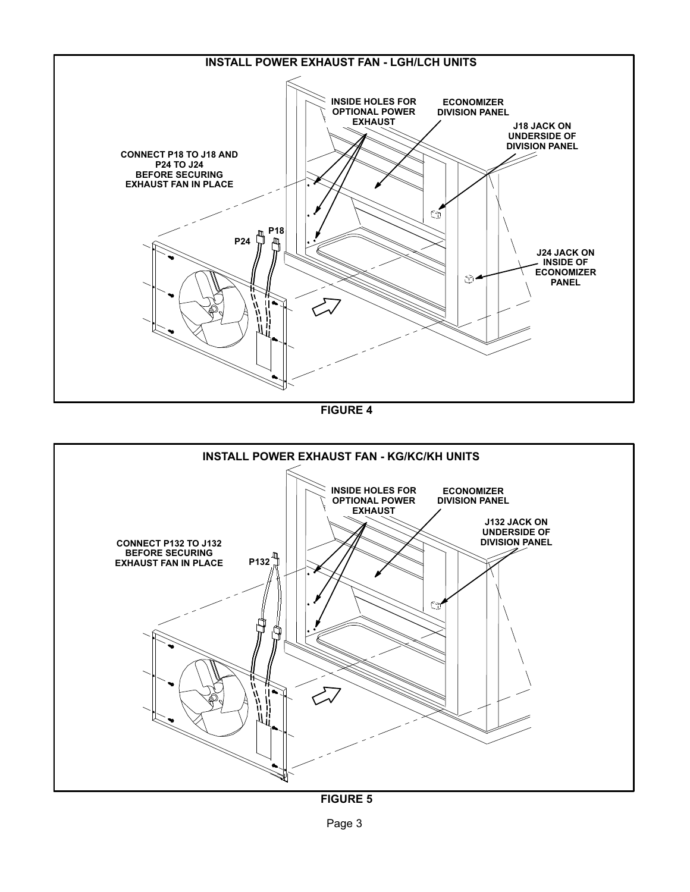

**FIGURE 4**



**FIGURE 5**